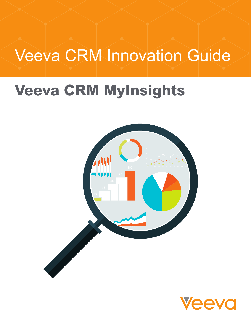# Veeva CRM Innovation Guide

# **Veeva CRM MyInsights**



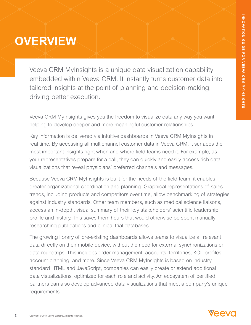### **OVERVIEW**

Veeva CRM MyInsights is a unique data visualization capability embedded within Veeva CRM. It instantly turns customer data into tailored insights at the point of planning and decision-making, driving better execution.

Veeva CRM MyInsights gives you the freedom to visualize data any way you want, helping to develop deeper and more meaningful customer relationships.

Key information is delivered via intuitive dashboards in Veeva CRM MyInsights in real time. By accessing all multichannel customer data in Veeva CRM, it surfaces the most important insights right when and where field teams need it. For example, as your representatives prepare for a call, they can quickly and easily access rich data visualizations that reveal physicians' preferred channels and messages.

Because Veeva CRM MyInsights is built for the needs of the field team, it enables greater organizational coordination and planning. Graphical representations of sales trends, including products and competitors over time, allow benchmarking of strategies against industry standards. Other team members, such as medical science liaisons, access an in-depth, visual summary of their key stakeholders' scientific leadership profile and history. This saves them hours that would otherwise be spent manually researching publications and clinical trial databases.

The growing library of pre-existing dashboards allows teams to visualize all relevant data directly on their mobile device, without the need for external synchronizations or data roundtrips. This includes order management, accounts, territories, KOL profiles, account planning, and more. Since Veeva CRM MyInsights is based on industrystandard HTML and JavaScript, companies can easily create or extend additional data visualizations, optimized for each role and activity. An ecosystem of certified partners can also develop advanced data visualizations that meet a company's unique requirements.

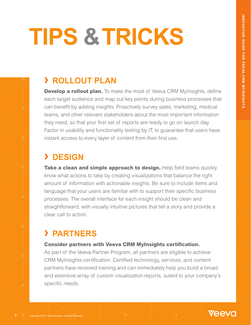# **TIPS & TRICKS**

### **› ROLLOUT PLAN**

**Develop a rollout plan.** To make the most of Veeva CRM MyInsights, define each target audience and map out key points during business processes that can benefit by adding insights. Proactively survey sales, marketing, medical teams, and other relevant stakeholders about the most important information they need, so that your first set of reports are ready to go on launch day. Factor in usability and functionality testing by IT, to guarantee that users have instant access to every layer of content from their first use.

### **› DESIGN**

**Take a clean and simple approach to design.** Help field teams quickly know what actions to take by creating visualizations that balance the right amount of information with actionable insights. Be sure to include items and language that your users are familiar with to support their specific business processes. The overall interface for each insight should be clean and straightforward, with visually intuitive pictures that tell a story and provide a clear call to action.

### **› PARTNERS**

### **Consider partners with Veeva CRM MyInsights certification.**

As part of the Veeva Partner Program, all partners are eligible to achieve CRM MyInsights certification. Certified technology, services, and content partners have received training and can immediately help you build a broad and extensive array of custom visualization reports, suited to your company's specific needs.

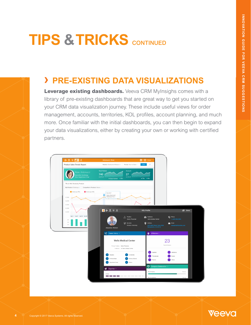# **TIPS & TRICKS** CONTINUED

## **›** PRE-EXISTING DATA VISUALIZATIONS

Leverage existing dashboards. Veeva CRM MyInsighs comes with a library of pre-existing dashboards that are great way to get you started on your CRM data visualization journey. These include useful views for order management, accounts, territories, KOL profiles, account planning, and much more. Once familiar with the initial dashboards, you can then begin to expand your data visualizations, either by creating your own or working with certified instant access to every layer of content from the content from the content from the content from the content of content from the content of content from the content of content of content of content of content of content of